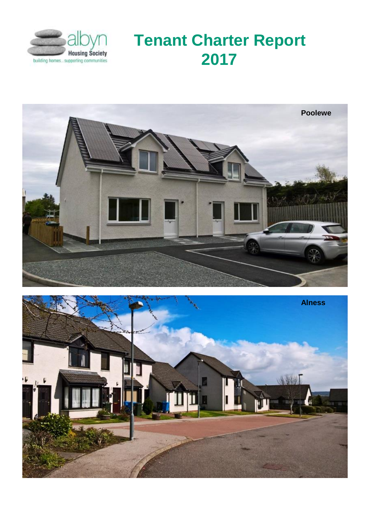

# **Tenant Charter Report 2017**



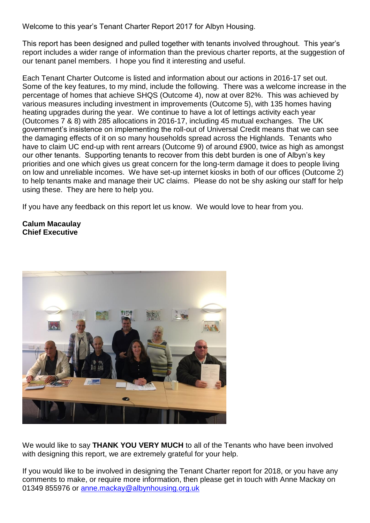Welcome to this year's Tenant Charter Report 2017 for Albyn Housing.

This report has been designed and pulled together with tenants involved throughout. This year's report includes a wider range of information than the previous charter reports, at the suggestion of our tenant panel members. I hope you find it interesting and useful.

Each Tenant Charter Outcome is listed and information about our actions in 2016-17 set out. Some of the key features, to my mind, include the following. There was a welcome increase in the percentage of homes that achieve SHQS (Outcome 4), now at over 82%. This was achieved by various measures including investment in improvements (Outcome 5), with 135 homes having heating upgrades during the year. We continue to have a lot of lettings activity each year (Outcomes 7 & 8) with 285 allocations in 2016-17, including 45 mutual exchanges. The UK government's insistence on implementing the roll-out of Universal Credit means that we can see the damaging effects of it on so many households spread across the Highlands. Tenants who have to claim UC end-up with rent arrears (Outcome 9) of around £900, twice as high as amongst our other tenants. Supporting tenants to recover from this debt burden is one of Albyn's key priorities and one which gives us great concern for the long-term damage it does to people living on low and unreliable incomes. We have set-up internet kiosks in both of our offices (Outcome 2) to help tenants make and manage their UC claims. Please do not be shy asking our staff for help using these. They are here to help you.

If you have any feedback on this report let us know. We would love to hear from you.

**Calum Macaulay Chief Executive**



We would like to say **THANK YOU VERY MUCH** to all of the Tenants who have been involved with designing this report, we are extremely grateful for your help.

If you would like to be involved in designing the Tenant Charter report for 2018, or you have any comments to make, or require more information, then please get in touch with Anne Mackay on 01349 855976 or [anne.mackay@albynhousing.org.uk](mailto:anne.mackay@albynhousing.org.uk)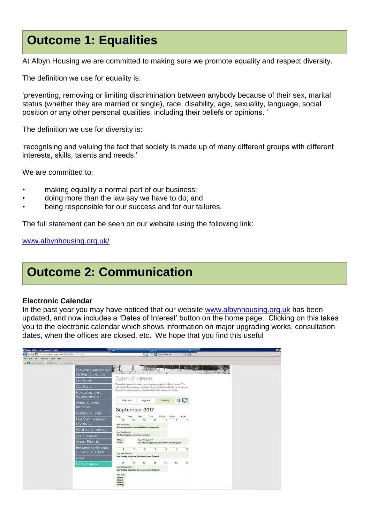# **Outcome 1: Equalities**

At Albyn Housing we are committed to making sure we promote equality and respect diversity.

The definition we use for equality is:

'preventing, removing or limiting discrimination between anybody because of their sex, marital status (whether they are married or single), race, disability, age, sexuality, language, social position or any other personal qualities, including their beliefs or opinions. '

The definition we use for diversity is:

'recognising and valuing the fact that society is made up of many different groups with different interests, skills, talents and needs.'

We are committed to:

- making equality a normal part of our business;
- doing more than the law say we have to do; and
- being responsible for our success and for our failures.

The full statement can be seen on our website using the following link:

[www.albynhousing.org.uk/](http://www.albynhousing.org.uk/)

# **Outcome 2: Communication**

#### **Electronic Calendar**

In the past year you may have noticed that our website [www.albynhousing.org.uk](http://www.albynhousing.org.uk/) has been updated, and now includes a 'Dates of Interest' button on the home page. Clicking on this takes you to the electronic calendar which shows information on major upgrading works, consultation dates, when the offices are closed, etc. We hope that you find this useful

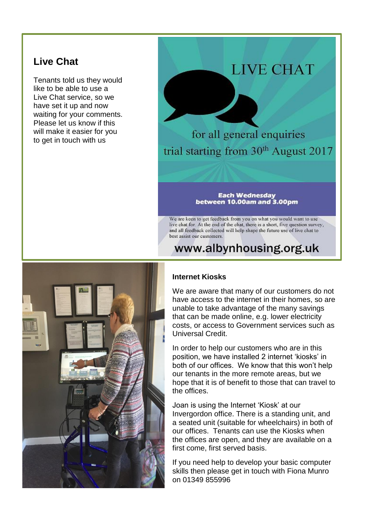## **Live Chat**

Tenants told us they would like to be able to use a Live Chat service, so we have set it up and now waiting for your comments. Please let us know if this will make it easier for you to get in touch with us

# **LIVE CHAT**

for all general enquiries trial starting from 30<sup>th</sup> August 2017

#### **Each Wednesday** between 10.00am and 3.00pm

We are keen to get feedback from you on what you would want to use live chat for. At the end of the chat, there is a short, five question survey, and all feedback collected will help shape the future use of live chat to best assist our customers.

## www.albynhousing.org.uk



### **Internet Kiosks**

We are aware that many of our customers do not have access to the internet in their homes, so are unable to take advantage of the many savings that can be made online, e.g. lower electricity costs, or access to Government services such as Universal Credit.

In order to help our customers who are in this position, we have installed 2 internet 'kiosks' in both of our offices. We know that this won't help our tenants in the more remote areas, but we hope that it is of benefit to those that can travel to the offices.

Joan is using the Internet 'Kiosk' at our Invergordon office. There is a standing unit, and a seated unit (suitable for wheelchairs) in both of our offices. Tenants can use the Kiosks when the offices are open, and they are available on a first come, first served basis.

If you need help to develop your basic computer skills then please get in touch with Fiona Munro on 01349 855996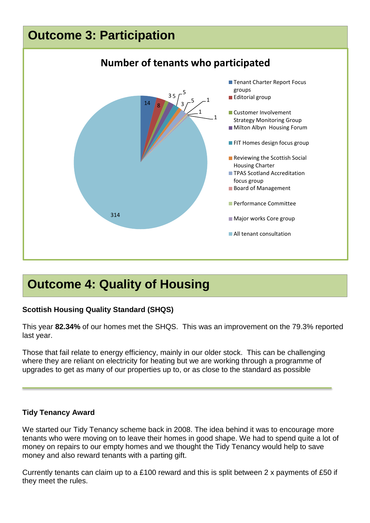# **Outcome 3: Participation**



# **Outcome 4: Quality of Housing**

## **Scottish Housing Quality Standard (SHQS)**

This year **82.34%** of our homes met the SHQS. This was an improvement on the 79.3% reported last year.

Those that fail relate to energy efficiency, mainly in our older stock. This can be challenging where they are reliant on electricity for heating but we are working through a programme of upgrades to get as many of our properties up to, or as close to the standard as possible

## **Tidy Tenancy Award**

We started our Tidy Tenancy scheme back in 2008. The idea behind it was to encourage more tenants who were moving on to leave their homes in good shape. We had to spend quite a lot of money on repairs to our empty homes and we thought the Tidy Tenancy would help to save money and also reward tenants with a parting gift.

Currently tenants can claim up to a £100 reward and this is split between 2 x payments of £50 if they meet the rules.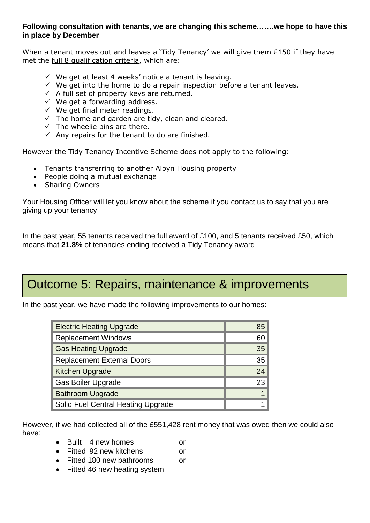### **Following consultation with tenants, we are changing this scheme.……we hope to have this in place by December**

When a tenant moves out and leaves a 'Tidy Tenancy' we will give them £150 if they have met the full 8 qualification criteria, which are:

- $\checkmark$  We get at least 4 weeks' notice a tenant is leaving.
- $\checkmark$  We get into the home to do a repair inspection before a tenant leaves.
- $\checkmark$  A full set of property keys are returned.
- $\checkmark$  We get a forwarding address.
- $\checkmark$  We get final meter readings.
- $\checkmark$  The home and garden are tidy, clean and cleared.
- $\checkmark$  The wheelie bins are there.
- $\checkmark$  Any repairs for the tenant to do are finished.

However the Tidy Tenancy Incentive Scheme does not apply to the following:

- Tenants transferring to another Albyn Housing property
- People doing a mutual exchange
- Sharing Owners

Your Housing Officer will let you know about the scheme if you contact us to say that you are giving up your tenancy

In the past year, 55 tenants received the full award of £100, and 5 tenants received £50, which means that **21.8%** of tenancies ending received a Tidy Tenancy award

# Outcome 5: Repairs, maintenance & improvements

In the past year, we have made the following improvements to our homes:

| <b>Electric Heating Upgrade</b>    | 85              |
|------------------------------------|-----------------|
| <b>Replacement Windows</b>         | 60              |
| <b>Gas Heating Upgrade</b>         | 35 <sub>2</sub> |
| <b>Replacement External Doors</b>  | 35              |
| <b>Kitchen Upgrade</b>             | 24              |
| <b>Gas Boiler Upgrade</b>          | 23              |
| <b>Bathroom Upgrade</b>            |                 |
| Solid Fuel Central Heating Upgrade |                 |

However, if we had collected all of the £551,428 rent money that was owed then we could also have:

- Built 4 new homes or
- Fitted 92 new kitchens or
- Fitted 180 new bathrooms or
- Fitted 46 new heating system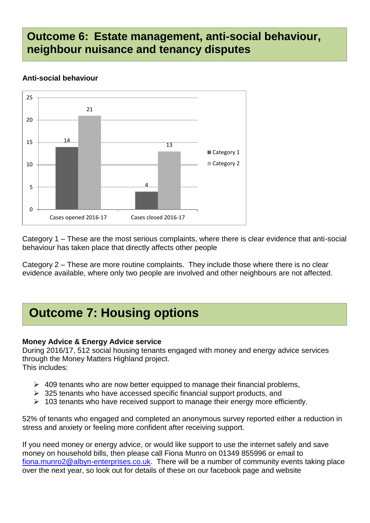## **Outcome 6: Estate management, anti-social behaviour, neighbour nuisance and tenancy disputes**

## **Anti-social behaviour**



Category 1 – These are the most serious complaints, where there is clear evidence that anti-social behaviour has taken place that directly affects other people

Category 2 – These are more routine complaints. They include those where there is no clear evidence available, where only two people are involved and other neighbours are not affected.

# **Outcome 7: Housing options**

## **Money Advice & Energy Advice service**

During 2016/17, 512 social housing tenants engaged with money and energy advice services through the Money Matters Highland project. This includes:

- $\geq$  409 tenants who are now better equipped to manage their financial problems,
- $\geq$  325 tenants who have accessed specific financial support products, and
- $\geq 103$  tenants who have received support to manage their energy more efficiently.

52% of tenants who engaged and completed an anonymous survey reported either a reduction in stress and anxiety or feeling more confident after receiving support.

If you need money or energy advice, or would like support to use the internet safely and save money on household bills, then please call Fiona Munro on 01349 855996 or email to [fiona.munro2@albyn-enterprises.co.uk.](mailto:fiona.munro2@albyn-enterprises.co.uk) There will be a number of community events taking place over the next year, so look out for details of these on our facebook page and website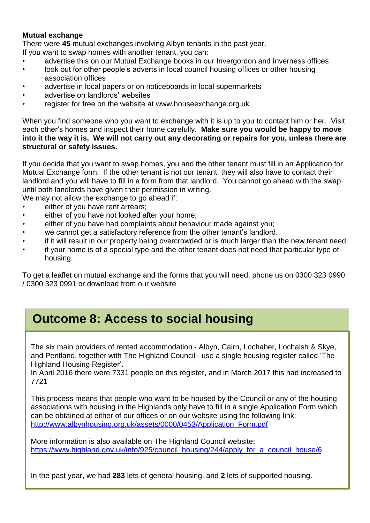## **Mutual exchange**

There were **45** mutual exchanges involving Albyn tenants in the past year.

If you want to swap homes with another tenant, you can:

- advertise this on our Mutual Exchange books in our Invergordon and Inverness offices
- look out for other people's adverts in local council housing offices or other housing association offices
- advertise in local papers or on noticeboards in local supermarkets
- advertise on landlords' websites
- register for free on the website at www.houseexchange.org.uk

When you find someone who you want to exchange with it is up to you to contact him or her. Visit each other's homes and inspect their home carefully. **Make sure you would be happy to move into it the way it is. We will not carry out any decorating or repairs for you, unless there are structural or safety issues.**

If you decide that you want to swap homes, you and the other tenant must fill in an Application for Mutual Exchange form. If the other tenant is not our tenant, they will also have to contact their landlord and you will have to fill in a form from that landlord. You cannot go ahead with the swap until both landlords have given their permission in writing.

We may not allow the exchange to go ahead if:

- either of you have rent arrears;
- either of you have not looked after your home;
- either of you have had complaints about behaviour made against you;
- we cannot get a satisfactory reference from the other tenant's landlord.
- if it will result in our property being overcrowded or is much larger than the new tenant need
- if your home is of a special type and the other tenant does not need that particular type of housing.

To get a leaflet on mutual exchange and the forms that you will need, phone us on 0300 323 0990 / 0300 323 0991 or download from our website

# **Outcome 8: Access to social housing**

The six main providers of rented accommodation - Albyn, Cairn, Lochaber, Lochalsh & Skye, and Pentland, together with The Highland Council - use a single housing register called 'The Highland Housing Register'.

In April 2016 there were 7331 people on this register, and in March 2017 this had increased to 7721

This process means that people who want to be housed by the Council or any of the housing associations with housing in the Highlands only have to fill in a single Application Form which can be obtained at either of our offices or on our website using the following link: [http://www.albynhousing.org.uk/assets/0000/0453/Application\\_Form.pdf](http://www.albynhousing.org.uk/assets/0000/0453/Application_Form.pdf)

More information is also available on The Highland Council website: [https://www.highland.gov.uk/info/925/council\\_housing/244/apply\\_for\\_a\\_council\\_house/6](https://www.highland.gov.uk/info/925/council_housing/244/apply_for_a_council_house/6)

In the past year, we had **283** lets of general housing, and **2** lets of supported housing.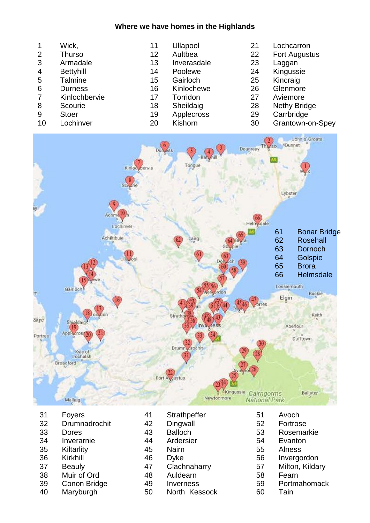### **Where we have homes in the Highlands**

|                | Wick,            | 11 | <b>Ullapool</b> | 21 | Lochcarron           |
|----------------|------------------|----|-----------------|----|----------------------|
| 2              | <b>Thurso</b>    | 12 | Aultbea         | 22 | <b>Fort Augustus</b> |
| 3              | Armadale         | 13 | Inverasdale     | 23 | Laggan               |
| $\overline{4}$ | <b>Bettyhill</b> | 14 | Poolewe         | 24 | Kingussie            |
| 5              | <b>Talmine</b>   | 15 | Gairloch        | 25 | Kincraig             |
| 6              | <b>Durness</b>   | 16 | Kinlochewe      | 26 | Glenmore             |
| $\overline{7}$ | Kinlochbervie    | 17 | Torridon        | 27 | Aviemore             |
| 8              | Scourie          | 18 | Sheildaig       | 28 | <b>Nethy Bridge</b>  |
| 9              | <b>Stoer</b>     | 19 | Applecross      | 29 | Carrbridge           |
| 10             | Lochinver        | 20 | Kishorn         | 30 | Grantown-on-Spey     |



- Foyers
- Drumnadrochit
- Dores
- Inverarnie
- Kiltarlity
- Kirkhill
- Beauly
- Muir of Ord
- Conon Bridge
- Maryburgh
- Strathpeffer Dingwall Balloch Ardersier Nairn Dyke Clachnaharry Auldearn Inverness North Kessock
- Rosemarkie Evanton Alness Invergordon Milton, Kildary Fearn Portmahomack Tain

 Avoch Fortrose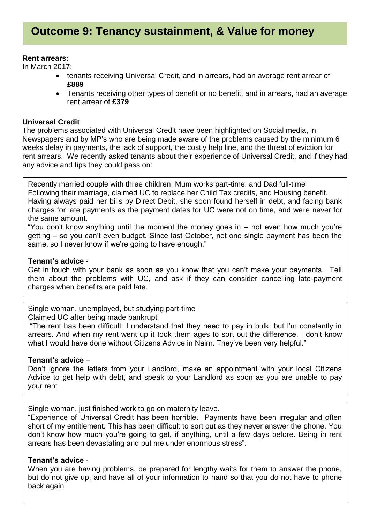### **Rent arrears:**

In March 2017:

- tenants receiving Universal Credit, and in arrears, had an average rent arrear of **£889**
- Tenants receiving other types of benefit or no benefit, and in arrears, had an average rent arrear of **£379**

### **Universal Credit**

The problems associated with Universal Credit have been highlighted on Social media, in Newspapers and by MP's who are being made aware of the problems caused by the minimum 6 weeks delay in payments, the lack of support, the costly help line, and the threat of eviction for rent arrears. We recently asked tenants about their experience of Universal Credit, and if they had any advice and tips they could pass on:

Recently married couple with three children, Mum works part-time, and Dad full-time Following their marriage, claimed UC to replace her Child Tax credits, and Housing benefit. Having always paid her bills by Direct Debit, she soon found herself in debt, and facing bank charges for late payments as the payment dates for UC were not on time, and were never for the same amount.

"You don't know anything until the moment the money goes in  $-$  not even how much you're getting – so you can't even budget. Since last October, not one single payment has been the same, so I never know if we're going to have enough."

### **Tenant's advice** -

Get in touch with your bank as soon as you know that you can't make your payments. Tell them about the problems with UC, and ask if they can consider cancelling late-payment charges when benefits are paid late.

Single woman, unemployed, but studying part-time

Claimed UC after being made bankrupt

"The rent has been difficult. I understand that they need to pay in bulk, but I'm constantly in arrears. And when my rent went up it took them ages to sort out the difference. I don't know what I would have done without Citizens Advice in Nairn. They've been very helpful."

### **Tenant's advice** –

Don't ignore the letters from your Landlord, make an appointment with your local Citizens Advice to get help with debt, and speak to your Landlord as soon as you are unable to pay your rent

Single woman, just finished work to go on maternity leave.

"Experience of Universal Credit has been horrible. Payments have been irregular and often short of my entitlement. This has been difficult to sort out as they never answer the phone. You don't know how much you're going to get, if anything, until a few days before. Being in rent arrears has been devastating and put me under enormous stress".

### **Tenant's advice** -

When you are having problems, be prepared for lengthy waits for them to answer the phone, but do not give up, and have all of your information to hand so that you do not have to phone back again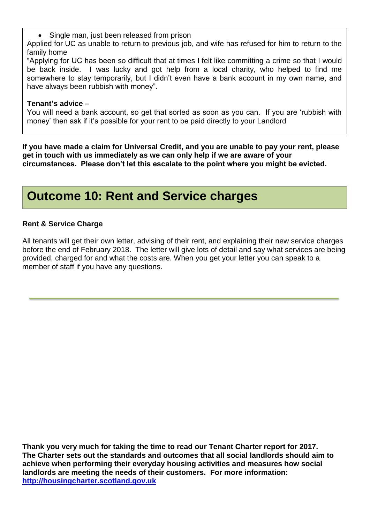Single man, just been released from prison

Applied for UC as unable to return to previous job, and wife has refused for him to return to the family home

"Applying for UC has been so difficult that at times I felt like committing a crime so that I would be back inside. I was lucky and got help from a local charity, who helped to find me somewhere to stay temporarily, but I didn't even have a bank account in my own name, and have always been rubbish with money".

## **Tenant's advice** –

You will need a bank account, so get that sorted as soon as you can. If you are 'rubbish with money' then ask if it's possible for your rent to be paid directly to your Landlord

**If you have made a claim for Universal Credit, and you are unable to pay your rent, please get in touch with us immediately as we can only help if we are aware of your circumstances. Please don't let this escalate to the point where you might be evicted.**

# **Outcome 10: Rent and Service charges**

## **Rent & Service Charge**

All tenants will get their own letter, advising of their rent, and explaining their new service charges before the end of February 2018. The letter will give lots of detail and say what services are being provided, charged for and what the costs are. When you get your letter you can speak to a member of staff if you have any questions.

**Thank you very much for taking the time to read our Tenant Charter report for 2017. The Charter sets out the standards and outcomes that all social landlords should aim to achieve when performing their everyday housing activities and measures how social landlords are meeting the needs of their customers. For more information: [http://housingcharter.scotland.gov.uk](http://housingcharter.scotland.gov.uk/)**